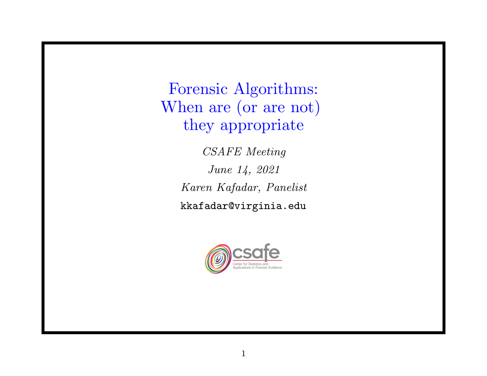Forensic Algorithms: When are (or are not) they appropriate

> CSAFE Meeting June 14, 2021 Karen Kafadar, Panelist kkafadar@virginia.edu

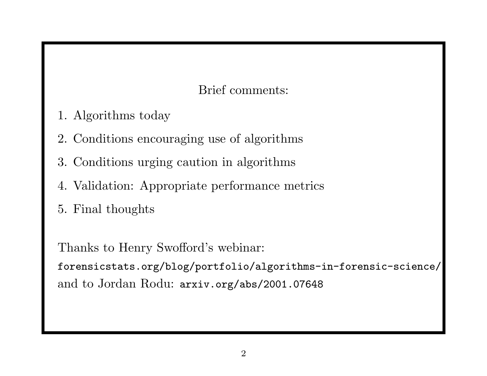Brief comments:

- 1. Algorithms today
- 2. Conditions encouraging use of algorithms
- 3. Conditions urging caution in algorithms
- 4. Validation: Appropriate performance metrics
- 5. Final thoughts

Thanks to Henry Swofford's webinar:

forensicstats.org/blog/portfolio/algorithms-in-forensic-science/ and to Jordan Rodu: arxiv.org/abs/2001.07648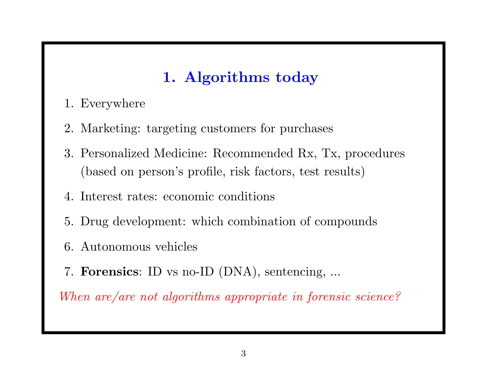# 1. Algorithms today

- 1. Everywhere
- 2. Marketing: targeting customers for purchases
- 3. Personalized Medicine: Recommended Rx, Tx, procedures (based on person's profile, risk factors, test results)
- 4. Interest rates: economic conditions
- 5. Drug development: which combination of compounds
- 6. Autonomous vehicles
- 7. Forensics: ID vs no-ID (DNA), sentencing, ...

When are/are not algorithms appropriate in forensic science?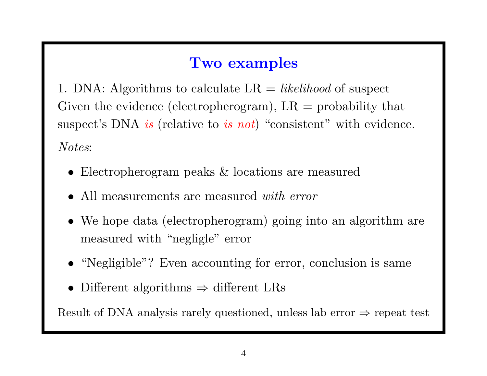### Two examples

1. DNA: Algorithms to calculate  $LR = likelihood$  of suspect Given the evidence (electropherogram),  $LR =$  probability that suspect's DNA *is* (relative to *is not*) "consistent" with evidence. Notes:

- Electropherogram peaks & locations are measured
- All measurements are measured *with error*
- We hope data (electropherogram) going into an algorithm are measured with "negligle" error
- "Negligible"? Even accounting for error, conclusion is same
- Different algorithms  $\Rightarrow$  different LRs

Result of DNA analysis rarely questioned, unless lab error  $\Rightarrow$  repeat test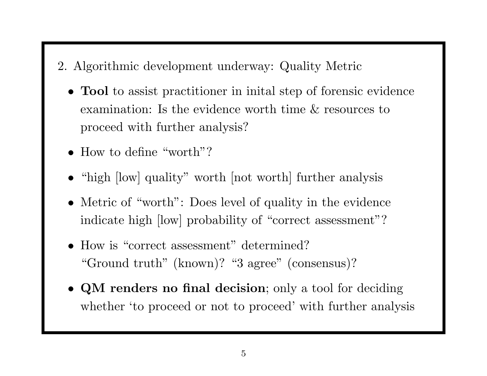- 2. Algorithmic development underway: Quality Metric
	- Tool to assist practitioner in inital step of forensic evidence examination: Is the evidence worth time & resources to proceed with further analysis?
	- How to define "worth"?
	- "high [low] quality" worth [not worth] further analysis
	- Metric of "worth": Does level of quality in the evidence indicate high [low] probability of "correct assessment"?
	- How is "correct assessment" determined? "Ground truth" (known)? "3 agree" (consensus)?
	- QM renders no final decision; only a tool for deciding whether 'to proceed or not to proceed' with further analysis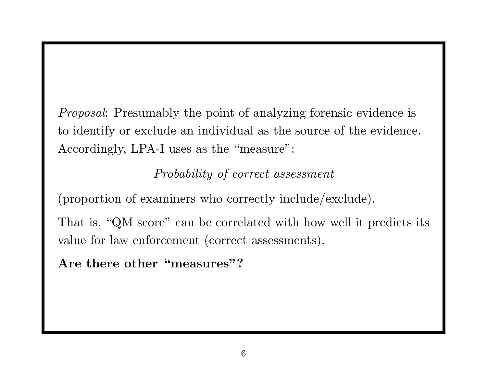Proposal: Presumably the point of analyzing forensic evidence is to identify or exclude an individual as the source of the evidence. Accordingly, LPA-I uses as the "measure":

Probability of correct assessment

(proportion of examiners who correctly include/exclude).

That is, "QM score" can be correlated with how well it predicts its value for law enforcement (correct assessments).

Are there other "measures"?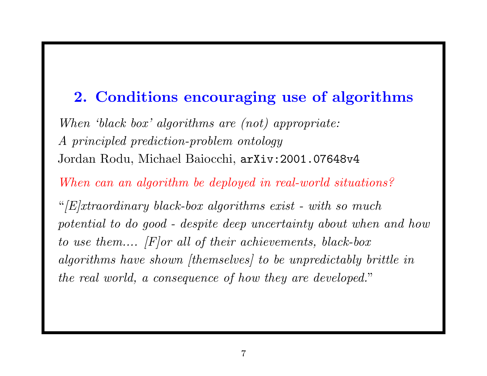#### 2. Conditions encouraging use of algorithms

When 'black box' algorithms are (not) appropriate: A principled prediction-problem ontology Jordan Rodu, Michael Baiocchi, arXiv:2001.07648v4

When can an algorithm be deployed in real-world situations?

" $|E|$ xtraordinary black-box algorithms exist - with so much potential to do good - despite deep uncertainty about when and how to use them.... [F]or all of their achievements, black-box algorithms have shown [themselves] to be unpredictably brittle in the real world, <sup>a</sup> consequence of how they are developed. "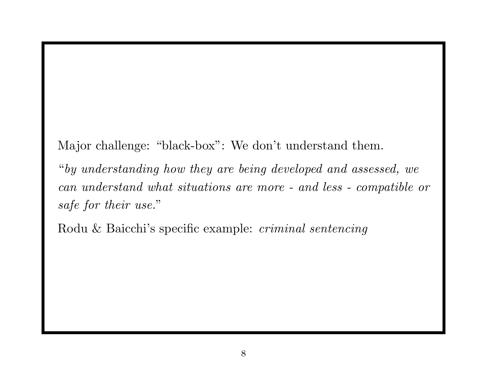Major challenge: "black-box": We don't understand them.

"by understanding how they are being developed and assessed, we can understand what situations are more - and less - compatible or safe for their use. "

Rodu & Baicchi's specific example: criminal sentencing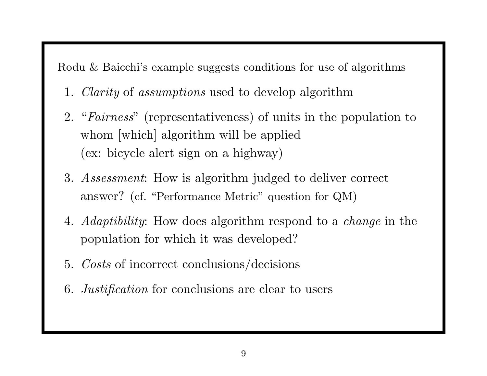Rodu & Baicchi's example suggests conditions for use of algorithms

- 1. Clarity of assumptions used to develop algorithm
- 2. "Fairness" (representativeness) of units in the population to whom [which] algorithm will be applied (ex: bicycle alert sign on <sup>a</sup> highway)
- 3. Assessment: How is algorithm judged to deliver correct answer? (cf. "Performance Metric" question for QM)
- 4. Adaptibility: How does algorithm respond to a *change* in the population for which it was developed?
- 5. Costs of incorrect conclusions/decisions
- 6. Justification for conclusions are clear to users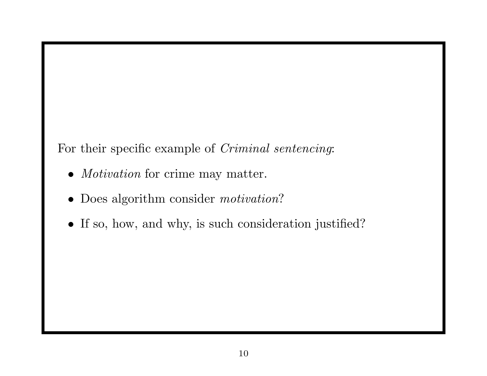For their specific example of *Criminal sentencing*:

- *Motivation* for crime may matter.
- Does algorithm consider *motivation*?
- If so, how, and why, is such consideration justified?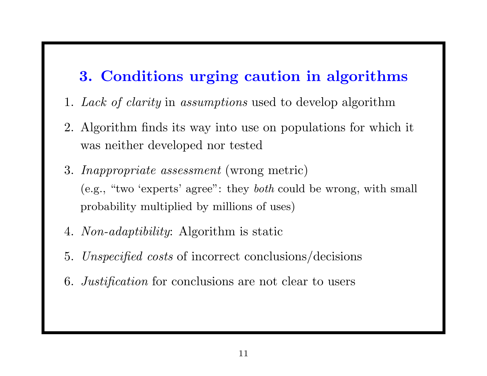### 3. Conditions urging caution in algorithms

- 1. Lack of clarity in assumptions used to develop algorithm
- 2. Algorithm finds its way into use on populations for which it was neither developed nor tested
- 3. Inappropriate assessment (wrong metric) (e.g., "two 'experts' agree": they both could be wrong, with small probability multiplied by millions of uses)
- 4. Non-adaptibility: Algorithm is static
- 5. Unspecified costs of incorrect conclusions/decisions
- 6. Justification for conclusions are not clear to users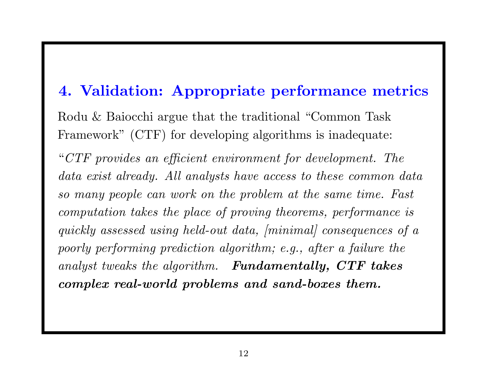#### 4. Validation: Appropriate performance metrics

Rodu & Baiocchi argue that the traditional "Common Task Framework" (CTF) for developing algorithms is inadequate:

"CTF provides an efficient environment for development. The data exist already. All analysts have access to these common data so many people can work on the problem at the same time. Fast computation takes the place of proving theorems, performance is quickly assessed using held-out data, [minimal] consequences of a poorly performing prediction algorithm; e.g., after a failure the analyst tweaks the algorithm. Fundamentally, CTF takes complex real-world problems and sand-boxes them.